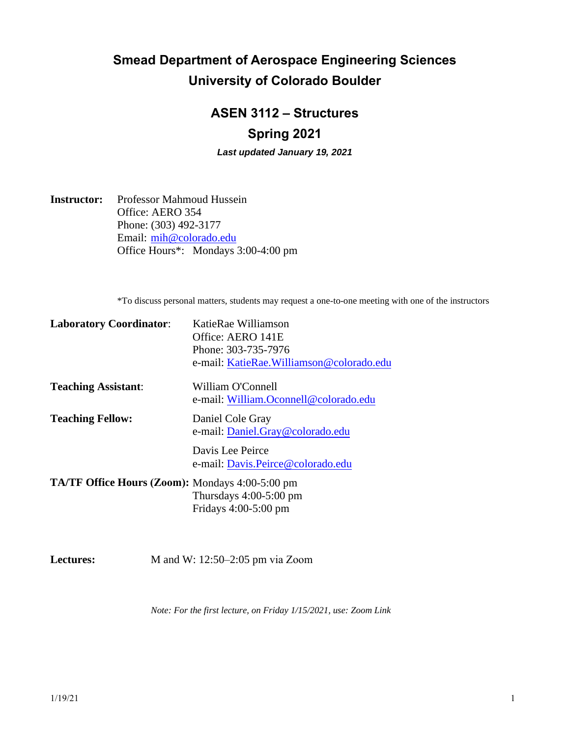# **Smead Department of Aerospace Engineering Sciences University of Colorado Boulder**

## **ASEN 3112 – Structures Spring 2021**

*Last updated January 19, 2021*

**Instructor:** Professor Mahmoud Hussein Office: AERO 354 Phone: (303) 492-3177 Email: [mih@colorado.edu](mailto:mih@colorado.edu) Office Hours\*: Mondays 3:00-4:00 pm

\*To discuss personal matters, students may request a one-to-one meeting with one of the instructors

| <b>Laboratory Coordinator:</b>                         | KatieRae Williamson                      |  |
|--------------------------------------------------------|------------------------------------------|--|
|                                                        | Office: AERO 141E                        |  |
|                                                        | Phone: 303-735-7976                      |  |
|                                                        | e-mail: KatieRae.Williamson@colorado.edu |  |
| <b>Teaching Assistant:</b>                             | William O'Connell                        |  |
|                                                        | e-mail: William.Oconnell@colorado.edu    |  |
| <b>Teaching Fellow:</b>                                | Daniel Cole Gray                         |  |
|                                                        | e-mail: Daniel.Gray@colorado.edu         |  |
|                                                        | Davis Lee Peirce                         |  |
|                                                        | e-mail: Davis.Peirce@colorado.edu        |  |
| <b>TA/TF Office Hours (Zoom):</b> Mondays 4:00-5:00 pm |                                          |  |
|                                                        | Thursdays $4:00-5:00$ pm                 |  |
|                                                        | Fridays $4:00-5:00$ pm                   |  |
|                                                        |                                          |  |

Lectures: M and W: 12:50–2:05 pm [via Zoom](https://cuboulder.zoom.us/j/94239532430)

*Note: For t[he first lecture, on Friday 1/15/2021, use: Z](https://cuboulder.zoom.us/j/91931864741)oom Link*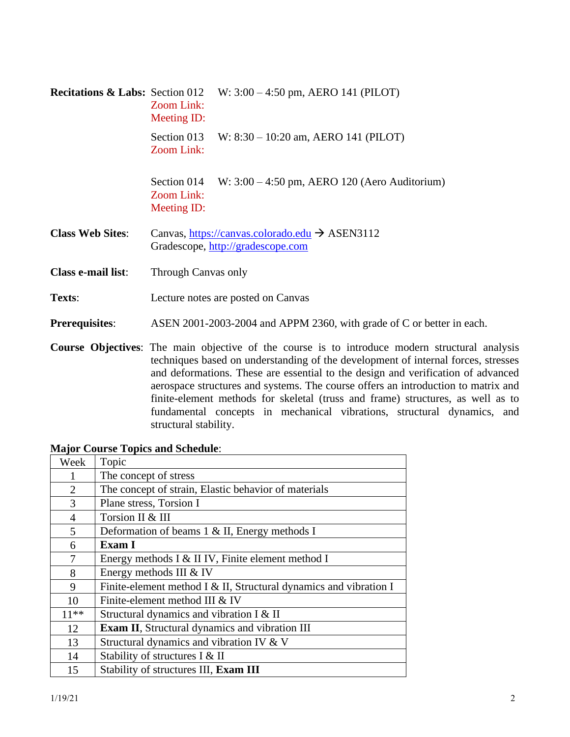| <b>Recitations &amp; Labs:</b> Section 012 | W: $3:00 - 4:50$ pm, AERO 141 (PILOT)<br>Zoom Link:<br>Meeting ID:                                                                                                                                                                                                                                                                                                                                                                                                                                                                                         |  |  |
|--------------------------------------------|------------------------------------------------------------------------------------------------------------------------------------------------------------------------------------------------------------------------------------------------------------------------------------------------------------------------------------------------------------------------------------------------------------------------------------------------------------------------------------------------------------------------------------------------------------|--|--|
|                                            | Section 013<br>W: $8:30 - 10:20$ am, AERO 141 (PILOT)<br>Zoom Link:                                                                                                                                                                                                                                                                                                                                                                                                                                                                                        |  |  |
|                                            | Section 014<br>W: $3:00 - 4:50$ pm, AERO 120 (Aero Auditorium)<br>Zoom Link:<br>Meeting ID:                                                                                                                                                                                                                                                                                                                                                                                                                                                                |  |  |
| <b>Class Web Sites:</b>                    | Canvas, https://canvas.colorado.edu $\rightarrow$ ASEN3112<br>Gradescope, http://gradescope.com                                                                                                                                                                                                                                                                                                                                                                                                                                                            |  |  |
| Class e-mail list:                         | Through Canvas only                                                                                                                                                                                                                                                                                                                                                                                                                                                                                                                                        |  |  |
| Texts:                                     | Lecture notes are posted on Canvas                                                                                                                                                                                                                                                                                                                                                                                                                                                                                                                         |  |  |
| <b>Prerequisites:</b>                      | ASEN 2001-2003-2004 and APPM 2360, with grade of C or better in each.                                                                                                                                                                                                                                                                                                                                                                                                                                                                                      |  |  |
|                                            | <b>Course Objectives:</b> The main objective of the course is to introduce modern structural analysis<br>techniques based on understanding of the development of internal forces, stresses<br>and deformations. These are essential to the design and verification of advanced<br>aerospace structures and systems. The course offers an introduction to matrix and<br>finite-element methods for skeletal (truss and frame) structures, as well as to<br>fundamental concepts in mechanical vibrations, structural dynamics, and<br>structural stability. |  |  |

## **Major Course Topics and Schedule**:

| Week           | Topic                                                             |
|----------------|-------------------------------------------------------------------|
| 1              | The concept of stress                                             |
| $\overline{2}$ | The concept of strain, Elastic behavior of materials              |
| 3              | Plane stress, Torsion I                                           |
| $\overline{4}$ | Torsion II & III                                                  |
| 5              | Deformation of beams $1 \& II$ , Energy methods I                 |
| 6              | <b>Exam I</b>                                                     |
| 7              | Energy methods I & II IV, Finite element method I                 |
| 8              | Energy methods III & IV                                           |
| 9              | Finite-element method I & II, Structural dynamics and vibration I |
| 10             | Finite-element method III & IV                                    |
| $11**$         | Structural dynamics and vibration I & II                          |
| 12             | <b>Exam II</b> , Structural dynamics and vibration III            |
| 13             | Structural dynamics and vibration IV & V                          |
| 14             | Stability of structures I & II                                    |
| 15             | Stability of structures III, Exam III                             |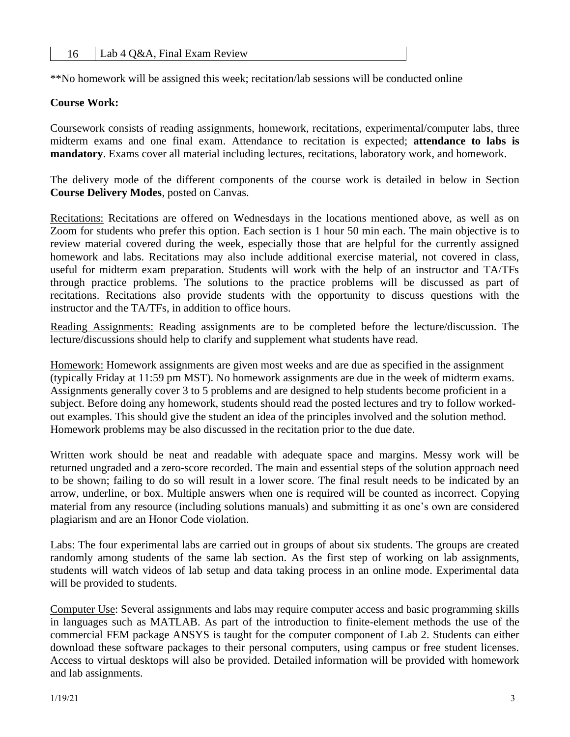\*\*No homework will be assigned this week; recitation/lab sessions will be conducted online

### **Course Work:**

Coursework consists of reading assignments, homework, recitations, experimental/computer labs, three midterm exams and one final exam. Attendance to recitation is expected; **attendance to labs is mandatory**. Exams cover all material including lectures, recitations, laboratory work, and homework.

The delivery mode of the different components of the course work is detailed in below in Section **Course Delivery Modes**, posted on Canvas.

Recitations: Recitations are offered on Wednesdays in the locations mentioned above, as well as on Zoom for students who prefer this option. Each section is 1 hour 50 min each. The main objective is to review material covered during the week, especially those that are helpful for the currently assigned homework and labs. Recitations may also include additional exercise material, not covered in class, useful for midterm exam preparation. Students will work with the help of an instructor and TA/TFs through practice problems. The solutions to the practice problems will be discussed as part of recitations. Recitations also provide students with the opportunity to discuss questions with the instructor and the TA/TFs, in addition to office hours.

Reading Assignments: Reading assignments are to be completed before the lecture/discussion. The lecture/discussions should help to clarify and supplement what students have read.

Homework: Homework assignments are given most weeks and are due as specified in the assignment (typically Friday at 11:59 pm MST). No homework assignments are due in the week of midterm exams. Assignments generally cover 3 to 5 problems and are designed to help students become proficient in a subject. Before doing any homework, students should read the posted lectures and try to follow workedout examples. This should give the student an idea of the principles involved and the solution method. Homework problems may be also discussed in the recitation prior to the due date.

Written work should be neat and readable with adequate space and margins. Messy work will be returned ungraded and a zero-score recorded. The main and essential steps of the solution approach need to be shown; failing to do so will result in a lower score. The final result needs to be indicated by an arrow, underline, or box. Multiple answers when one is required will be counted as incorrect. Copying material from any resource (including solutions manuals) and submitting it as one's own are considered plagiarism and are an Honor Code violation.

Labs: The four experimental labs are carried out in groups of about six students. The groups are created randomly among students of the same lab section. As the first step of working on lab assignments, students will watch videos of lab setup and data taking process in an online mode. Experimental data will be provided to students.

Computer Use: Several assignments and labs may require computer access and basic programming skills in languages such as MATLAB. As part of the introduction to finite-element methods the use of the commercial FEM package ANSYS is taught for the computer component of Lab 2. Students can either download these software packages to their personal computers, using campus or free student licenses. Access to virtual desktops will also be provided. Detailed information will be provided with homework and lab assignments.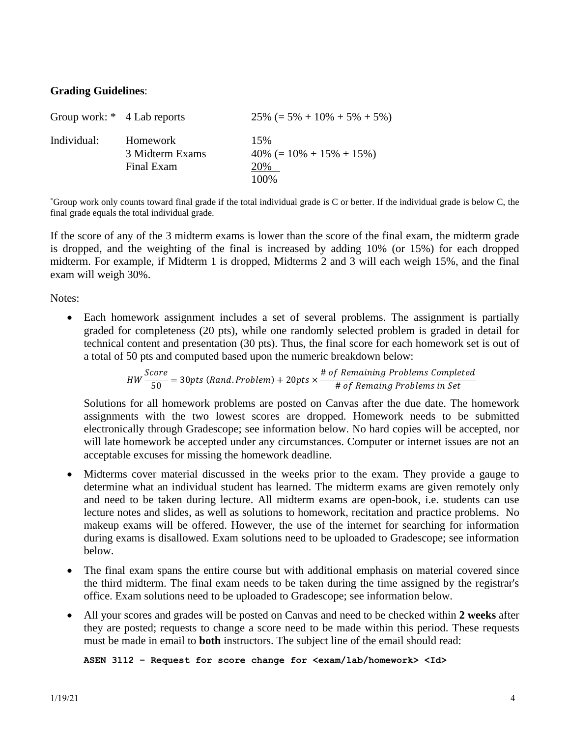### **Grading Guidelines**:

| Group work: * 4 Lab reports |                                           | $25\% (= 5\% + 10\% + 5\% + 5\%)$                    |
|-----------------------------|-------------------------------------------|------------------------------------------------------|
| Individual:                 | Homework<br>3 Midterm Exams<br>Final Exam | 15%<br>$40\% (= 10\% + 15\% + 15\%)$<br>20%<br>100\% |

\*Group work only counts toward final grade if the total individual grade is C or better. If the individual grade is below C, the final grade equals the total individual grade.

If the score of any of the 3 midterm exams is lower than the score of the final exam, the midterm grade is dropped, and the weighting of the final is increased by adding 10% (or 15%) for each dropped midterm. For example, if Midterm 1 is dropped, Midterms 2 and 3 will each weigh 15%, and the final exam will weigh 30%.

Notes:

• Each homework assignment includes a set of several problems. The assignment is partially graded for completeness (20 pts), while one randomly selected problem is graded in detail for technical content and presentation (30 pts). Thus, the final score for each homework set is out of a total of 50 pts and computed based upon the numeric breakdown below:

*HW* 
$$
\frac{Score}{50}
$$
 = 30*pts* (*Rand*. *Problem*) + 20*pts* ×  $\frac{\text{# of Remaining Problems Complete}}{\text{# of Remaing Problems in Set}}$ 

Solutions for all homework problems are posted on Canvas after the due date. The homework assignments with the two lowest scores are dropped. Homework needs to be submitted electronically through Gradescope; see information below. No hard copies will be accepted, nor will late homework be accepted under any circumstances. Computer or internet issues are not an acceptable excuses for missing the homework deadline.

- Midterms cover material discussed in the weeks prior to the exam. They provide a gauge to determine what an individual student has learned. The midterm exams are given remotely only and need to be taken during lecture. All midterm exams are open-book, i.e. students can use lecture notes and slides, as well as solutions to homework, recitation and practice problems. No makeup exams will be offered. However, the use of the internet for searching for information during exams is disallowed. Exam solutions need to be uploaded to Gradescope; see information below.
- The final exam spans the entire course but with additional emphasis on material covered since the third midterm. The final exam needs to be taken during the time assigned by the registrar's office. Exam solutions need to be uploaded to Gradescope; see information below.
- All your scores and grades will be posted on Canvas and need to be checked within **2 weeks** after they are posted; requests to change a score need to be made within this period. These requests must be made in email to **both** instructors. The subject line of the email should read:

**ASEN 3112 – Request for score change for <exam/lab/homework> <Id>**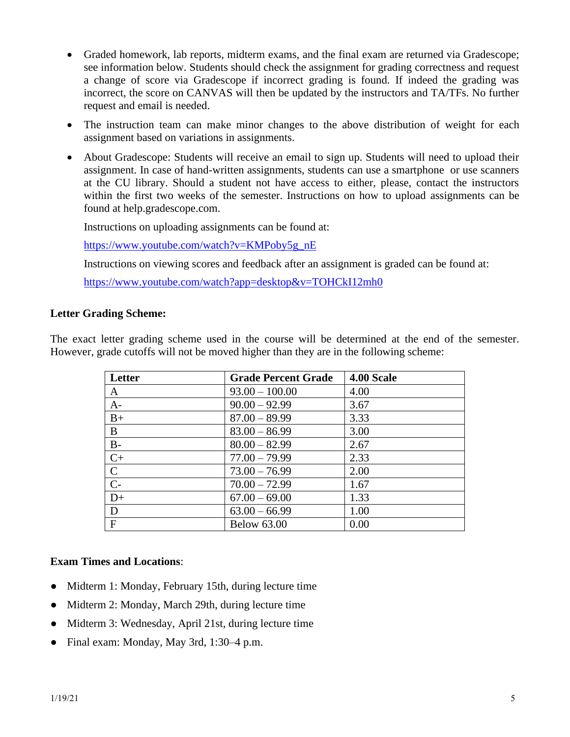- Graded homework, lab reports, midterm exams, and the final exam are returned via Gradescope; see information below. Students should check the assignment for grading correctness and request a change of score via Gradescope if incorrect grading is found. If indeed the grading was incorrect, the score on CANVAS will then be updated by the instructors and TA/TFs. No further request and email is needed.
- The instruction team can make minor changes to the above distribution of weight for each assignment based on variations in assignments.
- About Gradescope: Students will receive an email to sign up. Students will need to upload their assignment. In case of hand-written assignments, students can use a smartphone or use scanners at the CU library. Should a student not have access to either, please, contact the instructors within the first two weeks of the semester. Instructions on how to upload assignments can be found at help.gradescope.com.

Instructions on uploading assignments can be found at:

[https://www.youtube.com/watch?v=KMPoby5g\\_nE](https://www.youtube.com/watch?v=KMPoby5g_nE)

Instructions on viewing scores and feedback after an assignment is graded can be found at:

<https://www.youtube.com/watch?app=desktop&v=TOHCkI12mh0>

#### **Letter Grading Scheme:**

The exact letter grading scheme used in the course will be determined at the end of the semester. However, grade cutoffs will not be moved higher than they are in the following scheme:

| Letter         | <b>Grade Percent Grade</b> | 4.00 Scale |
|----------------|----------------------------|------------|
| A              | $93.00 - 100.00$           | 4.00       |
| $A-$           | $90.00 - 92.99$            | 3.67       |
| $B+$           | $87.00 - 89.99$            | 3.33       |
| B              | $83.00 - 86.99$            | 3.00       |
| $B-$           | $80.00 - 82.99$            | 2.67       |
| $C+$           | $77.00 - 79.99$            | 2.33       |
| $\mathbf C$    | $73.00 - 76.99$            | 2.00       |
| $\overline{C}$ | $70.00 - 72.99$            | 1.67       |
| $D+$           | $67.00 - 69.00$            | 1.33       |
| D              | $63.00 - 66.99$            | 1.00       |
| $\mathbf{F}$   | <b>Below 63.00</b>         | 0.00       |

#### **Exam Times and Locations**:

- Midterm 1: Monday, February 15th, during lecture time
- Midterm 2: Monday, March 29th, during lecture time
- Midterm 3: Wednesday, April 21st, during lecture time
- Final exam: Monday, May 3rd, 1:30–4 p.m.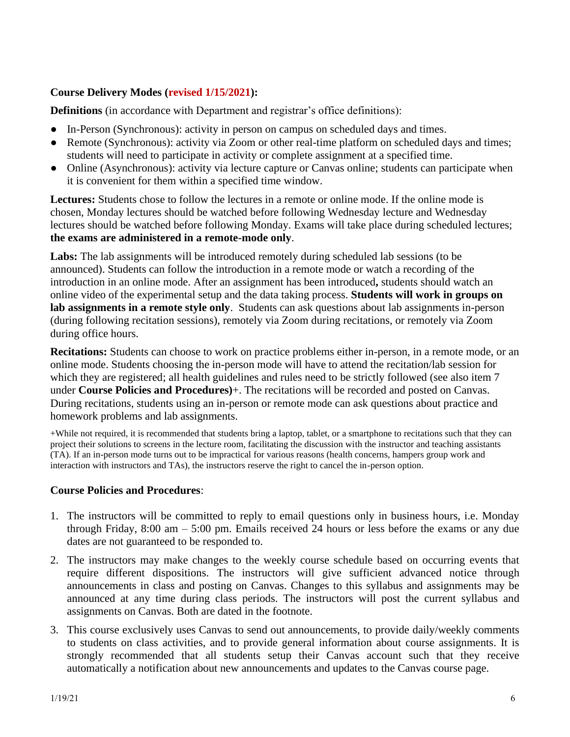## **Course Delivery Modes (revised 1/15/2021):**

**Definitions** (in accordance with Department and registrar's office definitions):

- In-Person (Synchronous): activity in person on campus on scheduled days and times.
- Remote (Synchronous): activity via Zoom or other real-time platform on scheduled days and times; students will need to participate in activity or complete assignment at a specified time.
- Online (Asynchronous): activity via lecture capture or Canvas online; students can participate when it is convenient for them within a specified time window.

**Lectures:** Students chose to follow the lectures in a remote or online mode. If the online mode is chosen, Monday lectures should be watched before following Wednesday lecture and Wednesday lectures should be watched before following Monday. Exams will take place during scheduled lectures; **the exams are administered in a remote-mode only**.

Labs: The lab assignments will be introduced remotely during scheduled lab sessions (to be announced). Students can follow the introduction in a remote mode or watch a recording of the introduction in an online mode. After an assignment has been introduced**,** students should watch an online video of the experimental setup and the data taking process. **Students will work in groups on lab assignments in a remote style only**. Students can ask questions about lab assignments in-person (during following recitation sessions), remotely via Zoom during recitations, or remotely via Zoom during office hours.

**Recitations:** Students can choose to work on practice problems either in-person, in a remote mode, or an online mode. Students choosing the in-person mode will have to attend the recitation/lab session for which they are registered; all health guidelines and rules need to be strictly followed (see also item 7 under **Course Policies and Procedures)**+. The recitations will be recorded and posted on Canvas. During recitations, students using an in-person or remote mode can ask questions about practice and homework problems and lab assignments.

+While not required, it is recommended that students bring a laptop, tablet, or a smartphone to recitations such that they can project their solutions to screens in the lecture room, facilitating the discussion with the instructor and teaching assistants (TA). If an in-person mode turns out to be impractical for various reasons (health concerns, hampers group work and interaction with instructors and TAs), the instructors reserve the right to cancel the in-person option.

## **Course Policies and Procedures**:

- 1. The instructors will be committed to reply to email questions only in business hours, i.e. Monday through Friday, 8:00 am – 5:00 pm. Emails received 24 hours or less before the exams or any due dates are not guaranteed to be responded to.
- 2. The instructors may make changes to the weekly course schedule based on occurring events that require different dispositions. The instructors will give sufficient advanced notice through announcements in class and posting on Canvas. Changes to this syllabus and assignments may be announced at any time during class periods. The instructors will post the current syllabus and assignments on Canvas. Both are dated in the footnote.
- 3. This course exclusively uses Canvas to send out announcements, to provide daily/weekly comments to students on class activities, and to provide general information about course assignments. It is strongly recommended that all students setup their Canvas account such that they receive automatically a notification about new announcements and updates to the Canvas course page.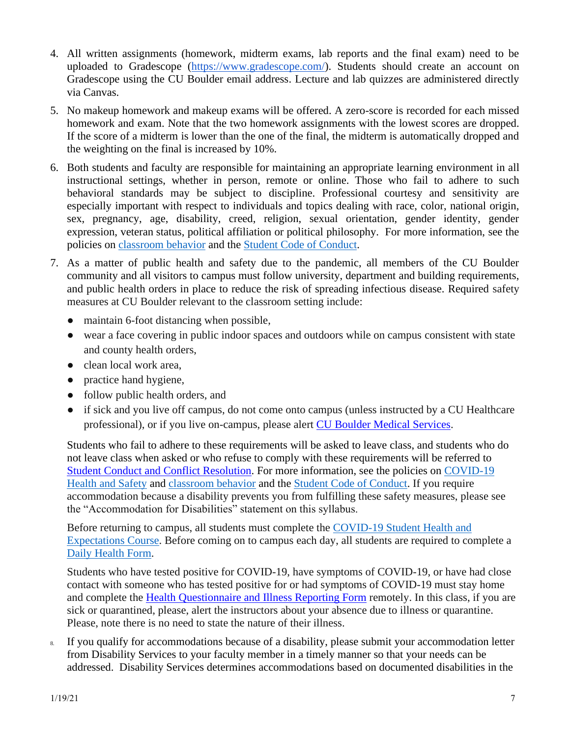- 4. All written assignments (homework, midterm exams, lab reports and the final exam) need to be uploaded to Gradescope [\(https://www.gradescope.com/\)](https://www.gradescope.com/). Students should create an account on Gradescope using the CU Boulder email address. Lecture and lab quizzes are administered directly via Canvas.
- 5. No makeup homework and makeup exams will be offered. A zero-score is recorded for each missed homework and exam. Note that the two homework assignments with the lowest scores are dropped. If the score of a midterm is lower than the one of the final, the midterm is automatically dropped and the weighting on the final is increased by 10%.
- 6. Both students and faculty are responsible for maintaining an appropriate learning environment in all instructional settings, whether in person, remote or online. Those who fail to adhere to such behavioral standards may be subject to discipline. Professional courtesy and sensitivity are especially important with respect to individuals and topics dealing with race, color, national origin, sex, pregnancy, age, disability, creed, religion, sexual orientation, gender identity, gender expression, veteran status, political affiliation or political philosophy. For more information, see the policies on [classroom behavior](http://www.colorado.edu/policies/student-classroom-and-course-related-behavior) and the [Student Code of Conduct.](https://www.colorado.edu/sccr/sites/default/files/attached-files/2020-2021_student_code_of_conduct_0.pdf)
- 7. As a matter of public health and safety due to the pandemic, all members of the CU Boulder community and all visitors to campus must follow university, department and building requirements, and public health orders in place to reduce the risk of spreading infectious disease. Required safety measures at CU Boulder relevant to the classroom setting include:
	- maintain 6-foot distancing when possible,
	- wear a face covering in public indoor spaces and outdoors while on campus consistent with state and county health orders,
	- clean local work area,
	- practice hand hygiene,
	- follow public health orders, and
	- if sick and you live off campus, do not come onto campus (unless instructed by a CU Healthcare professional), or if you live on-campus, please alert [CU Boulder Medical Services.](https://www.colorado.edu/healthcenter/coronavirus-updates/symptoms-and-what-do-if-you-feel-sick)

Students who fail to adhere to these requirements will be asked to leave class, and students who do not leave class when asked or who refuse to comply with these requirements will be referred to [Student Conduct and Conflict Resolution.](https://www.colorado.edu/sccr/) For more information, see the policies on [COVID-19](https://www.colorado.edu/policies/covid-19-health-and-safety-policy)  [Health and Safety](https://www.colorado.edu/policies/covid-19-health-and-safety-policy) and [classroom behavior](http://www.colorado.edu/policies/student-classroom-and-course-related-behavior) and the [Student Code of Conduct.](https://www.colorado.edu/sccr/sites/default/files/attached-files/2020-2021_student_code_of_conduct_0.pdf) If you require accommodation because a disability prevents you from fulfilling these safety measures, please see the "Accommodation for Disabilities" statement on this syllabus.

Before returning to campus, all students must complete the [COVID-19 Student Health and](https://www.colorado.edu/protect-our-herd/how#anchor1)  [Expectations Course.](https://www.colorado.edu/protect-our-herd/how#anchor1) Before coming on to campus each day, all students are required to complete a [Daily Health Form.](https://www.colorado.edu/protect-our-herd/daily-health-form)

Students who have tested positive for COVID-19, have symptoms of COVID-19, or have had close contact with someone who has tested positive for or had symptoms of COVID-19 must stay home and complete the [Health Questionnaire and Illness Reporting Form](https://www.colorado.edu/protect-our-herd/daily-health-form) remotely. In this class, if you are sick or quarantined, please, alert the instructors about your absence due to illness or quarantine. Please, note there is no need to state the nature of their illness.

8. If you qualify for accommodations because of a disability, please submit your accommodation letter from Disability Services to your faculty member in a timely manner so that your needs can be addressed. Disability Services determines accommodations based on documented disabilities in the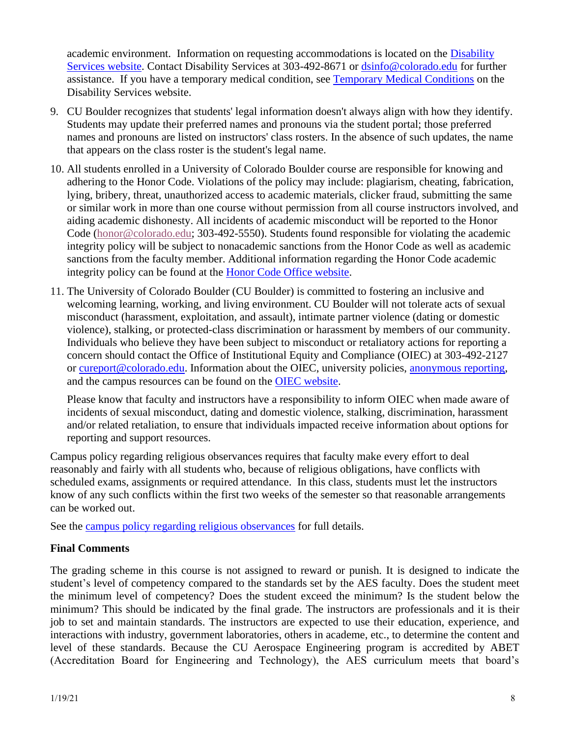academic environment. Information on requesting accommodations is located on the [Disability](https://www.colorado.edu/disabilityservices/)  [Services website.](https://www.colorado.edu/disabilityservices/) Contact Disability Services at 303-492-8671 or [dsinfo@colorado.edu](mailto:dsinfo@colorado.edu) for further assistance. If you have a temporary medical condition, see [Temporary Medical Conditions](http://www.colorado.edu/disabilityservices/students/temporary-medical-conditions) on the Disability Services website.

- 9. CU Boulder recognizes that students' legal information doesn't always align with how they identify. Students may update their preferred names and pronouns via the student portal; those preferred names and pronouns are listed on instructors' class rosters. In the absence of such updates, the name that appears on the class roster is the student's legal name.
- 10. All students enrolled in a University of Colorado Boulder course are responsible for knowing and adhering to the Honor Code. Violations of the policy may include: plagiarism, cheating, fabrication, lying, bribery, threat, unauthorized access to academic materials, clicker fraud, submitting the same or similar work in more than one course without permission from all course instructors involved, and aiding academic dishonesty. All incidents of academic misconduct will be reported to the Honor Code [\(honor@colorado.edu;](mailto:honor@colorado.edu) 303-492-5550). Students found responsible for violating the academic integrity policy will be subject to nonacademic sanctions from the Honor Code as well as academic sanctions from the faculty member. Additional information regarding the Honor Code academic integrity policy can be found at the [Honor Code Office website.](https://www.colorado.edu/osccr/honor-code)
- 11. The University of Colorado Boulder (CU Boulder) is committed to fostering an inclusive and welcoming learning, working, and living environment. CU Boulder will not tolerate acts of sexual misconduct (harassment, exploitation, and assault), intimate partner violence (dating or domestic violence), stalking, or protected-class discrimination or harassment by members of our community. Individuals who believe they have been subject to misconduct or retaliatory actions for reporting a concern should contact the Office of Institutional Equity and Compliance (OIEC) at 303-492-2127 or [cureport@colorado.edu.](mailto:cureport@colorado.edu) Information about the OIEC, university policies, [anonymous reporting,](https://cuboulder.qualtrics.com/jfe/form/SV_0PnqVK4kkIJIZnf) and the campus resources can be found on the [OIEC website.](http://www.colorado.edu/institutionalequity/)

Please know that faculty and instructors have a responsibility to inform OIEC when made aware of incidents of sexual misconduct, dating and domestic violence, stalking, discrimination, harassment and/or related retaliation, to ensure that individuals impacted receive information about options for reporting and support resources.

Campus policy regarding religious observances requires that faculty make every effort to deal reasonably and fairly with all students who, because of religious obligations, have conflicts with scheduled exams, assignments or required attendance. In this class, students must let the instructors know of any such conflicts within the first two weeks of the semester so that reasonable arrangements can be worked out.

See the [campus policy regarding religious observances](http://www.colorado.edu/policies/observance-religious-holidays-and-absences-classes-andor-exams) for full details.

## **Final Comments**

The grading scheme in this course is not assigned to reward or punish. It is designed to indicate the student's level of competency compared to the standards set by the AES faculty. Does the student meet the minimum level of competency? Does the student exceed the minimum? Is the student below the minimum? This should be indicated by the final grade. The instructors are professionals and it is their job to set and maintain standards. The instructors are expected to use their education, experience, and interactions with industry, government laboratories, others in academe, etc., to determine the content and level of these standards. Because the CU Aerospace Engineering program is accredited by ABET (Accreditation Board for Engineering and Technology), the AES curriculum meets that board's